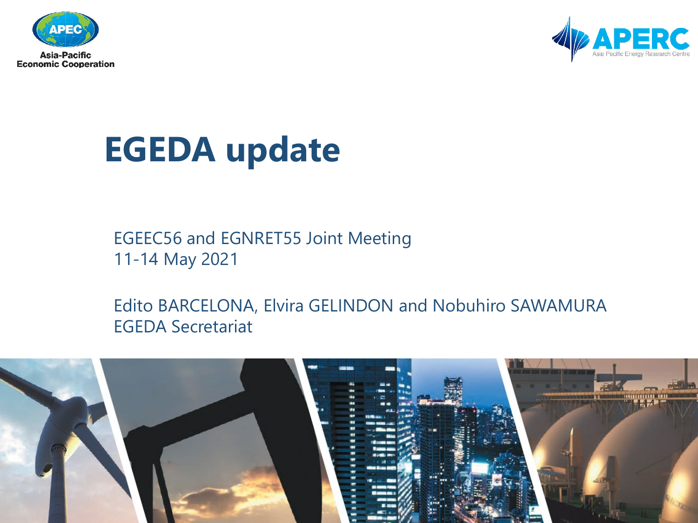



## **EGEDA update**

EGEEC56 and EGNRET55 Joint Meeting 11-14 May 2021

Edito BARCELONA, Elvira GELINDON and Nobuhiro SAWAMURA EGEDA Secretariat

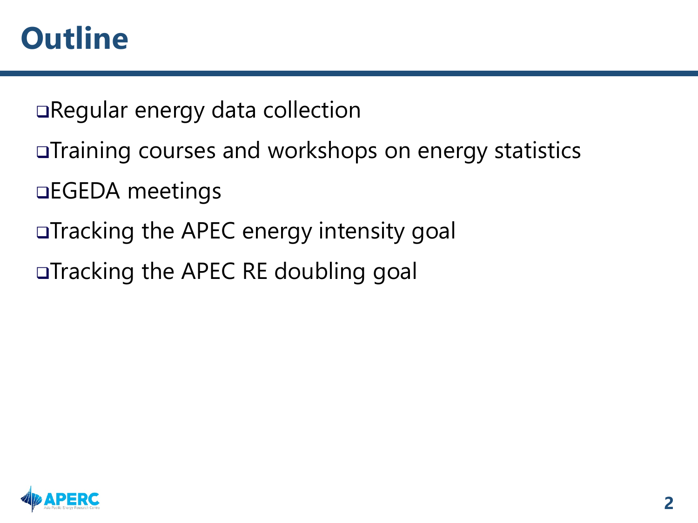#### **Outline**

Regular energy data collection

- Training courses and workshops on energy statistics
- EGEDA meetings
- □Tracking the APEC energy intensity goal
- □Tracking the APEC RE doubling goal

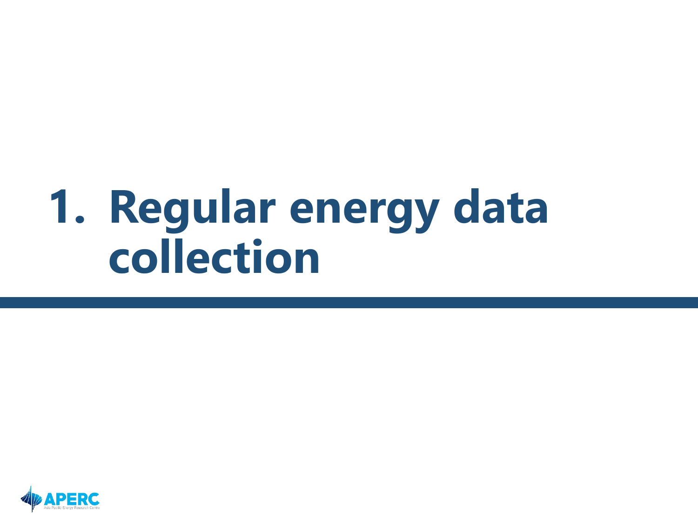# **1. Regular energy data collection**

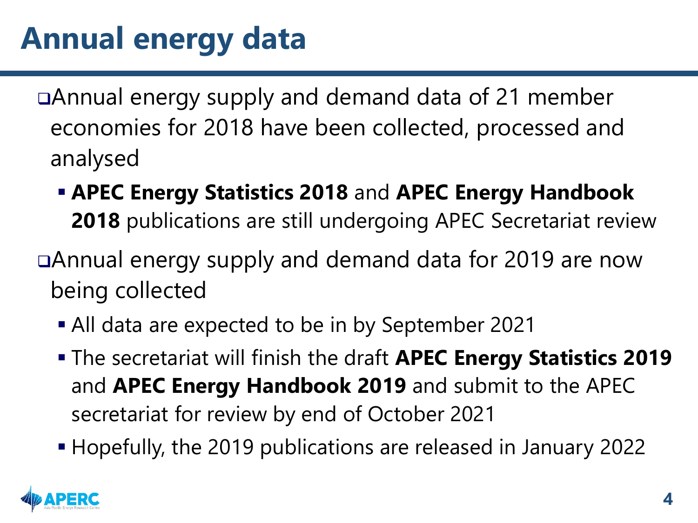Annual energy supply and demand data of 21 member economies for 2018 have been collected, processed and analysed

 **APEC Energy Statistics 2018** and **APEC Energy Handbook 2018** publications are still undergoing APEC Secretariat review

Annual energy supply and demand data for 2019 are now being collected

- All data are expected to be in by September 2021
- The secretariat will finish the draft **APEC Energy Statistics 2019**  and **APEC Energy Handbook 2019** and submit to the APEC secretariat for review by end of October 2021
- Hopefully, the 2019 publications are released in January 2022

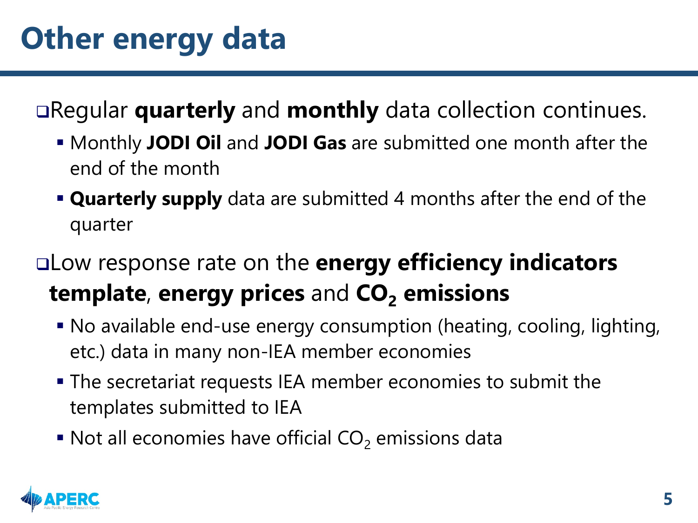Regular **quarterly** and **monthly** data collection continues.

- Monthly **JODI Oil** and **JODI Gas** are submitted one month after the end of the month
- **Quarterly supply** data are submitted 4 months after the end of the quarter
- Low response rate on the **energy efficiency indicators template, energy prices and CO<sub>2</sub> emissions** 
	- No available end-use energy consumption (heating, cooling, lighting, etc.) data in many non-IEA member economies
	- The secretariat requests IEA member economies to submit the templates submitted to IEA
	- $\blacksquare$  Not all economies have official CO<sub>2</sub> emissions data

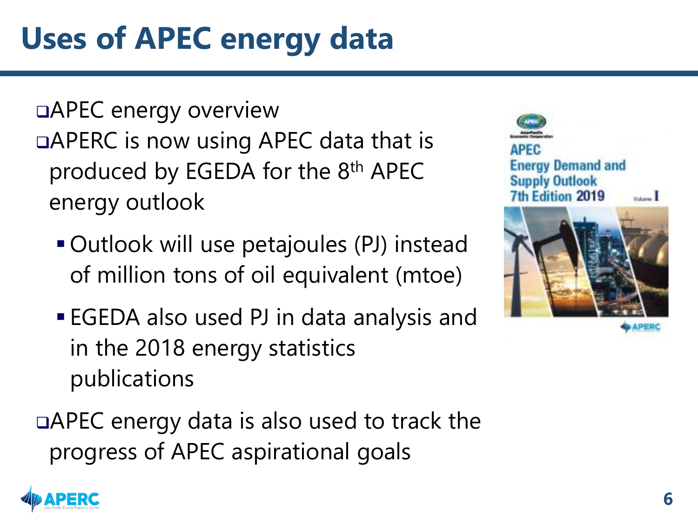### **Uses of APEC energy data**

APEC energy overview □APERC is now using APEC data that is produced by EGEDA for the 8th APEC energy outlook

- Outlook will use petajoules (PJ) instead of million tons of oil equivalent (mtoe)
- EGEDA also used PJ in data analysis and in the 2018 energy statistics publications

□APEC energy data is also used to track the progress of APEC aspirational goals



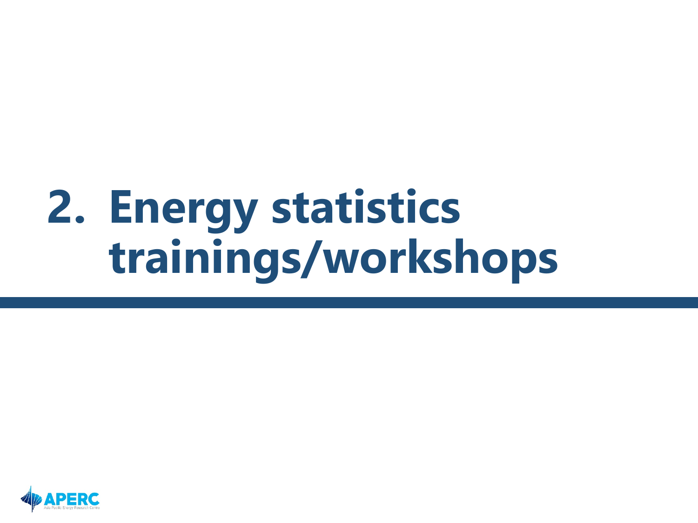# **2. Energy statistics trainings/workshops**

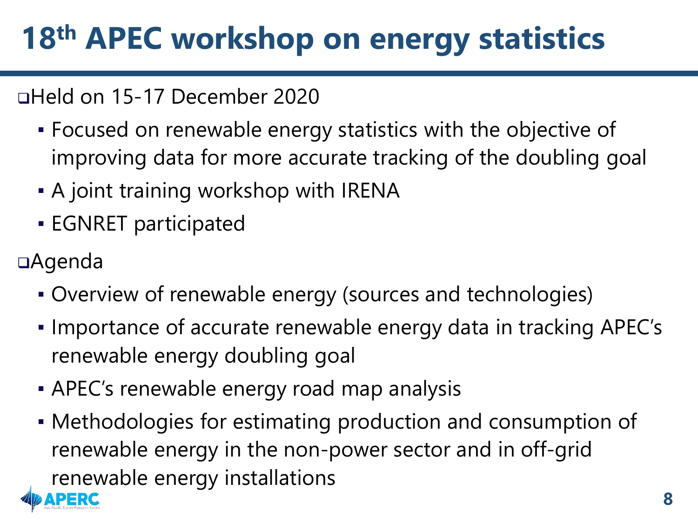### **18th APEC workshop on energy statistics**

#### Held on 15-17 December 2020

- Focused on renewable energy statistics with the objective of improving data for more accurate tracking of the doubling goal
- **A joint training workshop with IRENA**
- **EGNRET participated**
- Agenda
	- Overview of renewable energy (sources and technologies)
	- Importance of accurate renewable energy data in tracking APEC's renewable energy doubling goal
	- **APEC's renewable energy road map analysis**
	- Methodologies for estimating production and consumption of renewable energy in the non-power sector and in off-grid renewable energy installations

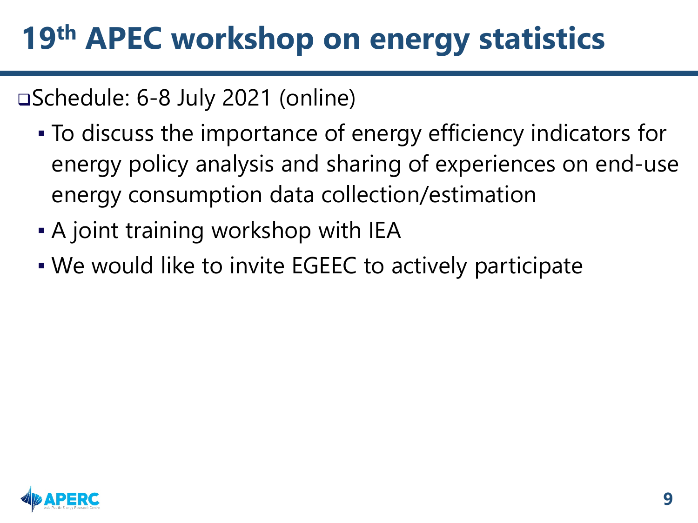### **19th APEC workshop on energy statistics**

#### Schedule: 6-8 July 2021 (online)

- To discuss the importance of energy efficiency indicators for energy policy analysis and sharing of experiences on end-use energy consumption data collection/estimation
- **A joint training workshop with IEA**
- We would like to invite EGEEC to actively participate

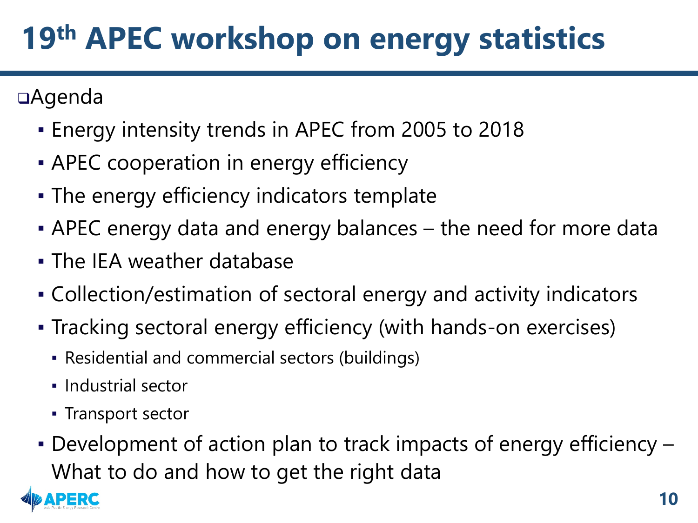### **19th APEC workshop on energy statistics**

Agenda

- **Energy intensity trends in APEC from 2005 to 2018**
- **EXAPEC** cooperation in energy efficiency
- **The energy efficiency indicators template**
- **APEC energy data and energy balances the need for more data**
- **.** The IEA weather database
- Collection/estimation of sectoral energy and activity indicators
- Tracking sectoral energy efficiency (with hands-on exercises)
	- Residential and commercial sectors (buildings)
	- Industrial sector
	- Transport sector
- Development of action plan to track impacts of energy efficiency What to do and how to get the right data

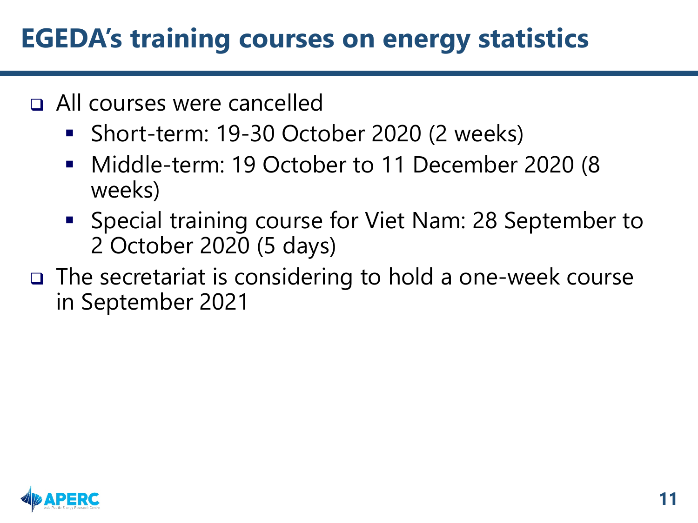#### **EGEDA's training courses on energy statistics**

- All courses were cancelled
	- Short-term: 19-30 October 2020 (2 weeks)
	- Middle-term: 19 October to 11 December 2020 (8 weeks)
	- **Special training course for Viet Nam: 28 September to** 2 October 2020 (5 days)
- The secretariat is considering to hold a one-week course in September 2021

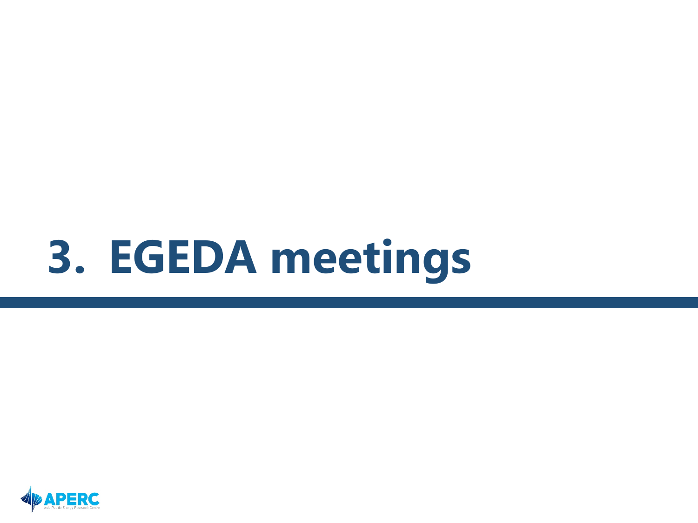# **3. EGEDA meetings**

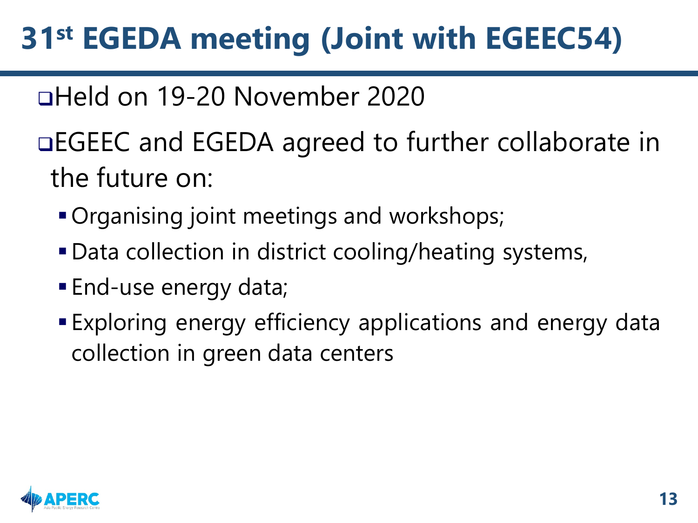### **31st EGEDA meeting (Joint with EGEEC54)**

#### Held on 19-20 November 2020

EGEEC and EGEDA agreed to further collaborate in the future on:

- **Organising joint meetings and workshops;**
- Data collection in district cooling/heating systems,
- End-use energy data;
- Exploring energy efficiency applications and energy data collection in green data centers

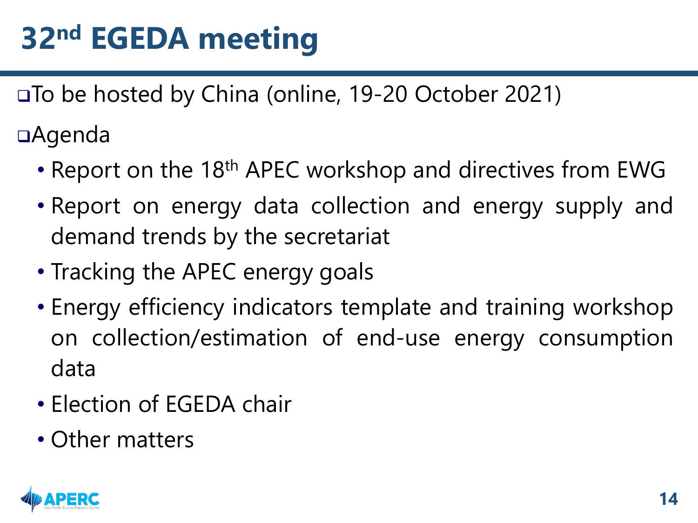### **32nd EGEDA meeting**

To be hosted by China (online, 19-20 October 2021)

Agenda

- Report on the 18<sup>th</sup> APEC workshop and directives from EWG
- Report on energy data collection and energy supply and demand trends by the secretariat
- Tracking the APEC energy goals
- Energy efficiency indicators template and training workshop on collection/estimation of end-use energy consumption data
- Election of EGEDA chair
- Other matters

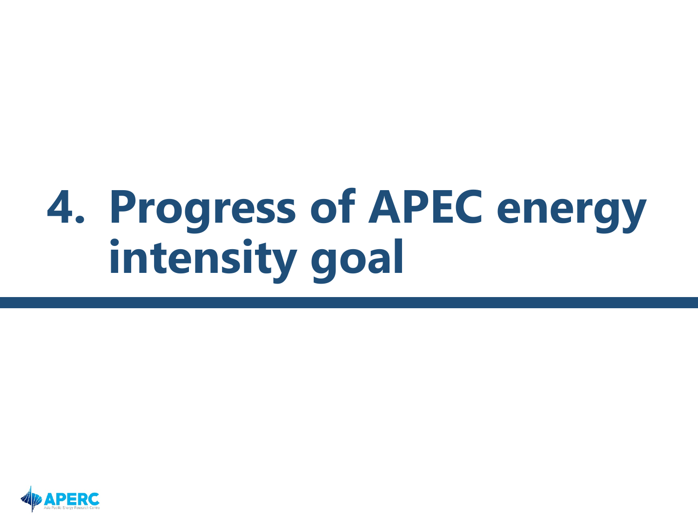# **4. Progress of APEC energy intensity goal**

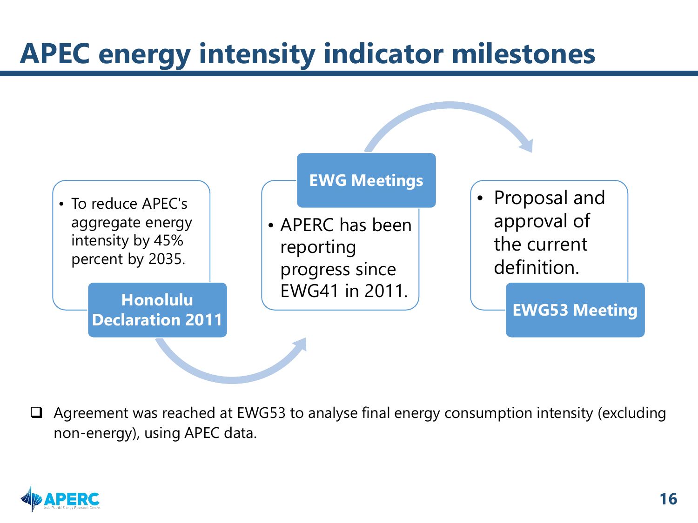#### **APEC energy intensity indicator milestones**



 $\Box$  Agreement was reached at EWG53 to analyse final energy consumption intensity (excluding non-energy), using APEC data.

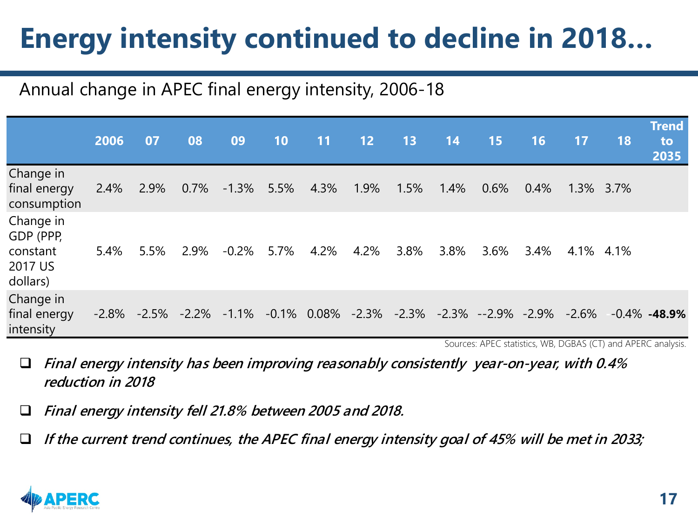### **Energy intensity continued to decline in 2018…**

#### Annual change in APEC final energy intensity, 2006-18

|                                                           | 2006 | 07   | 08   | 09       | 10   | 11 <sup>2</sup> | 12   | 13   | 14   | 15                                                                                              | 16   | 17        | <b>18</b> | <b>Trend</b><br>to<br>2035 |
|-----------------------------------------------------------|------|------|------|----------|------|-----------------|------|------|------|-------------------------------------------------------------------------------------------------|------|-----------|-----------|----------------------------|
| Change in<br>final energy<br>consumption                  | 2.4% | 2.9% | 0.7% | $-1.3\%$ | 5.5% | 4.3%            | 1.9% | 1.5% | 1.4% | $0.6\%$                                                                                         | 0.4% | 1.3% 3.7% |           |                            |
| Change in<br>GDP (PPP,<br>constant<br>2017 US<br>dollars) | 5.4% | 5.5% | 2.9% | $-0.2%$  | 5.7% | 4.2%            | 4.2% | 3.8% | 3.8% | 3.6%                                                                                            | 3.4% | 4.1% 4.1% |           |                            |
| Change in<br>final energy<br>intensity                    |      |      |      |          |      |                 |      |      |      | $-2.8\%$ $-2.5\%$ $-2.2\%$ $-1.1\%$ $-0.1\%$ 0.08% $-2.3\%$ $-2.3\%$ $-2.3\%$ $-2.9\%$ $-2.9\%$ |      | $-2.6\%$  |           | $-0.4\%$ -48.9%            |

Sources: APEC statistics, WB, DGBAS (CT) and APERC analysis.

 **Final energy intensity has been improving reasonably consistently year-on-year, with 0.4% reduction in 2018**

**Final energy intensity fell 21.8% between 2005 and 2018.**

**If the current trend continues, the APEC final energy intensity goal of 45% will be met in 2033;** 

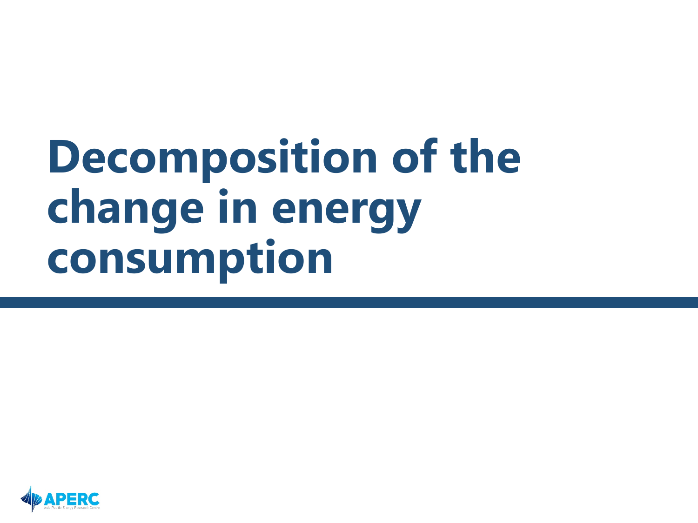# **Decomposition of the change in energy consumption**

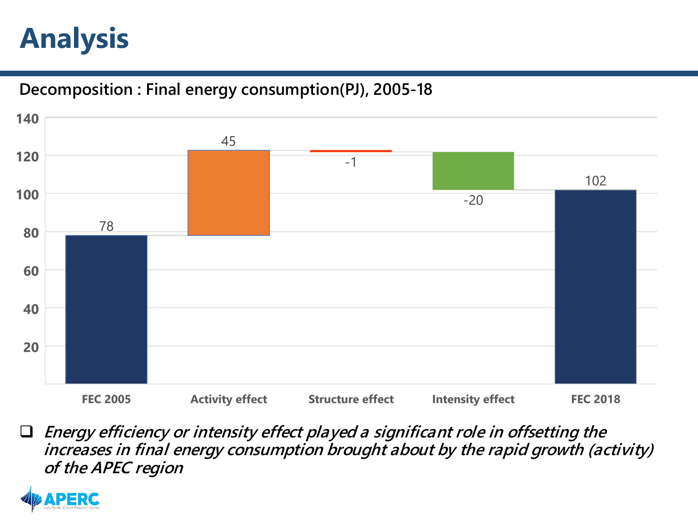#### **Analysis**

#### **Decomposition : Final energy consumption(PJ), 2005-18**



 **Energy efficiency or intensity effect played a significant role in offsetting the increases in final energy consumption brought about by the rapid growth (activity) of the APEC region**

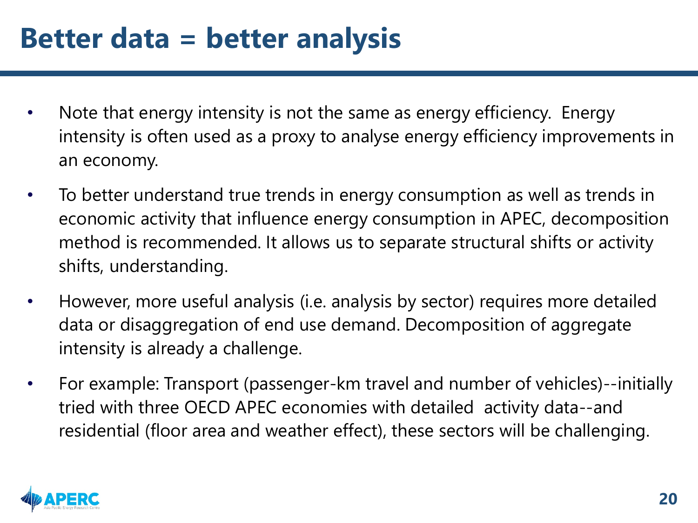#### **Better data = better analysis**

- Note that energy intensity is not the same as energy efficiency. Energy intensity is often used as a proxy to analyse energy efficiency improvements in an economy.
- To better understand true trends in energy consumption as well as trends in economic activity that influence energy consumption in APEC, decomposition method is recommended. It allows us to separate structural shifts or activity shifts, understanding.
- However, more useful analysis (i.e. analysis by sector) requires more detailed data or disaggregation of end use demand. Decomposition of aggregate intensity is already a challenge.
- For example: Transport (passenger-km travel and number of vehicles)--initially tried with three OECD APEC economies with detailed activity data--and residential (floor area and weather effect), these sectors will be challenging.

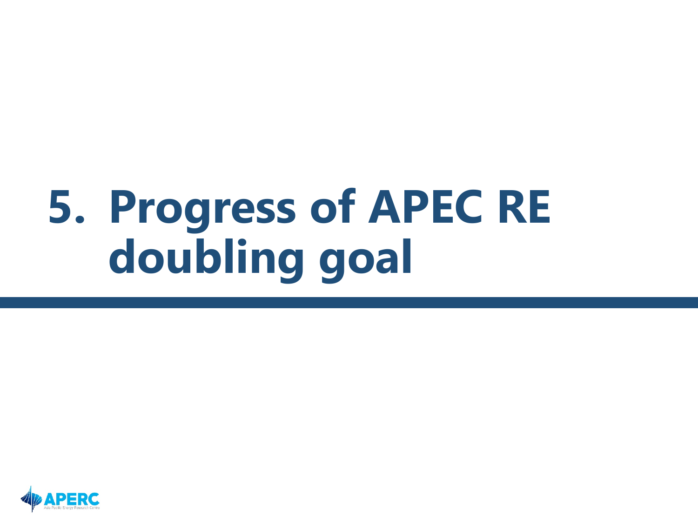# **5. Progress of APEC RE doubling goal**

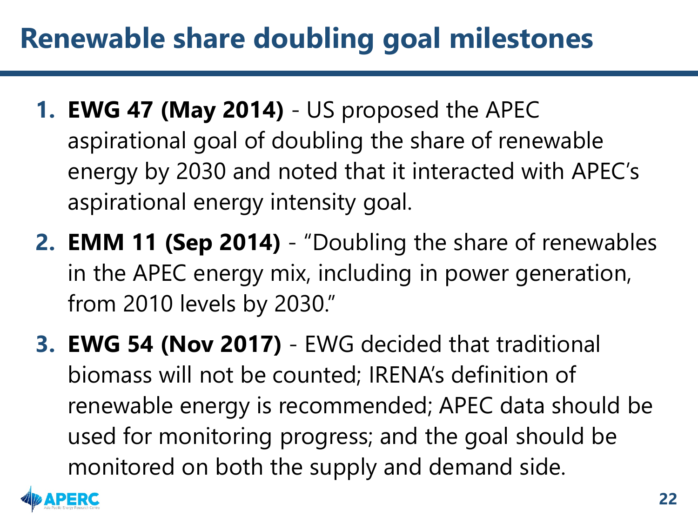#### **Renewable share doubling goal milestones**

- **1. EWG 47 (May 2014)** US proposed the APEC aspirational goal of doubling the share of renewable energy by 2030 and noted that it interacted with APEC's aspirational energy intensity goal.
- **2. EMM 11 (Sep 2014)** "Doubling the share of renewables in the APEC energy mix, including in power generation, from 2010 levels by 2030."
- **3. EWG 54 (Nov 2017)** EWG decided that traditional biomass will not be counted; IRENA's definition of renewable energy is recommended; APEC data should be used for monitoring progress; and the goal should be monitored on both the supply and demand side.

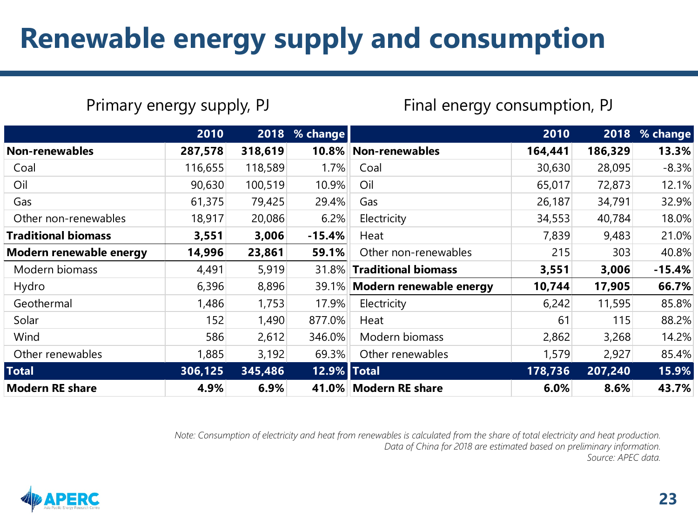#### **Renewable energy supply and consumption**

Primary energy supply, PJ Final energy consumption, PJ

|                            | 2010    |         | 2018 % change |                               | 2010    |         | 2018 % change |
|----------------------------|---------|---------|---------------|-------------------------------|---------|---------|---------------|
| <b>Non-renewables</b>      | 287,578 | 318,619 |               | 10.8% Non-renewables          | 164,441 | 186,329 | 13.3%         |
| Coal                       | 116,655 | 118,589 | 1.7%          | Coal                          | 30,630  | 28,095  | $-8.3%$       |
| Oil                        | 90,630  | 100,519 | 10.9%         | Oil                           | 65,017  | 72,873  | 12.1%         |
| Gas                        | 61,375  | 79,425  | 29.4%         | Gas                           | 26,187  | 34,791  | 32.9%         |
| Other non-renewables       | 18,917  | 20,086  | 6.2%          | Electricity                   | 34,553  | 40,784  | 18.0%         |
| <b>Traditional biomass</b> | 3,551   | 3,006   | $-15.4%$      | Heat                          | 7,839   | 9,483   | 21.0%         |
| Modern renewable energy    | 14,996  | 23,861  | 59.1%         | Other non-renewables          | 215     | 303     | 40.8%         |
| Modern biomass             | 4,491   | 5,919   | 31.8%         | <b>Traditional biomass</b>    | 3,551   | 3,006   | $-15.4%$      |
| Hydro                      | 6,396   | 8,896   |               | 39.1% Modern renewable energy | 10,744  | 17,905  | 66.7%         |
| Geothermal                 | 1,486   | 1,753   | 17.9%         | Electricity                   | 6,242   | 11,595  | 85.8%         |
| Solar                      | 152     | 1,490   | 877.0%        | Heat                          | 61      | 115     | 88.2%         |
| Wind                       | 586     | 2,612   | 346.0%        | Modern biomass                | 2,862   | 3,268   | 14.2%         |
| Other renewables           | 1,885   | 3,192   | 69.3%         | Other renewables              | 1,579   | 2,927   | 85.4%         |
| <b>Total</b>               | 306,125 | 345,486 | 12.9%   Total |                               | 178,736 | 207,240 | 15.9%         |
| <b>Modern RE share</b>     | 4.9%    | 6.9%    |               | 41.0%   Modern RE share       | 6.0%    | 8.6%    | 43.7%         |

*Note: Consumption of electricity and heat from renewables is calculated from the share of total electricity and heat production. Data of China for 2018 are estimated based on preliminary information. Source: APEC data.*

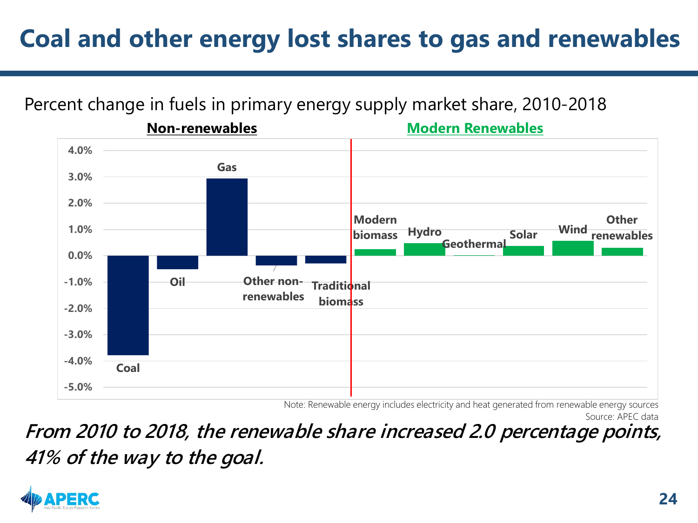#### **Coal and other energy lost shares to gas and renewables**

#### Percent change in fuels in primary energy supply market share, 2010-2018



Note: Renewable energy includes electricity and heat generated from renewable energy sources

Source: APEC data

**From 2010 to 2018, the renewable share increased 2.0 percentage points, 41% of the way to the goal.**

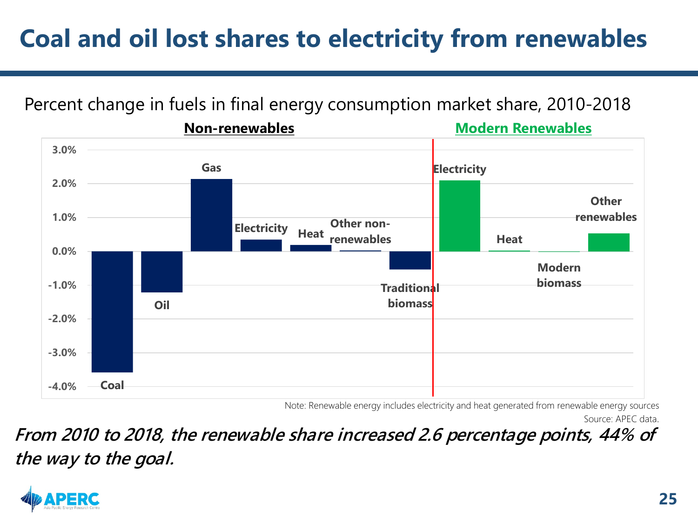#### **Coal and oil lost shares to electricity from renewables**

#### Percent change in fuels in final energy consumption market share, 2010-2018



Note: Renewable energy includes electricity and heat generated from renewable energy sources

Source: APEC data.

**From 2010 to 2018, the renewable share increased 2.6 percentage points, 44% of the way to the goal.**

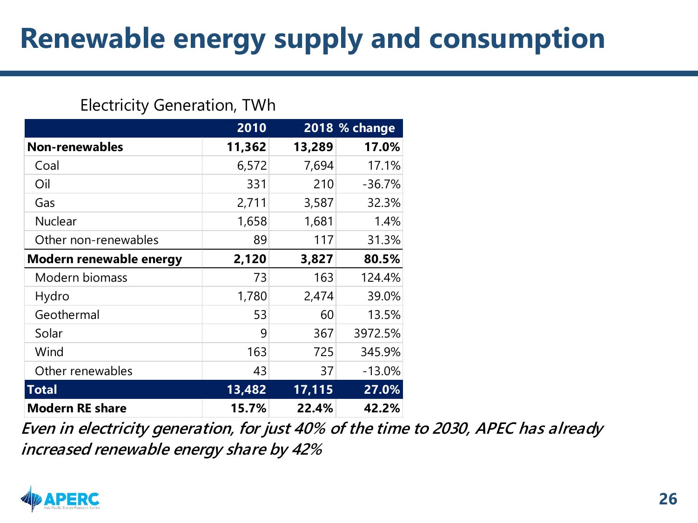#### **Renewable energy supply and consumption**

#### Electricity Generation, TWh

|                         | 2010   |        | 2018 % change |
|-------------------------|--------|--------|---------------|
| <b>Non-renewables</b>   | 11,362 | 13,289 | 17.0%         |
| Coal                    | 6,572  | 7,694  | 17.1%         |
| Oil                     | 331    | 210    | $-36.7%$      |
| Gas                     | 2,711  | 3,587  | 32.3%         |
| <b>Nuclear</b>          | 1,658  | 1,681  | 1.4%          |
| Other non-renewables    | 89     | 117    | 31.3%         |
| Modern renewable energy | 2,120  | 3,827  | 80.5%         |
| Modern biomass          | 73     | 163    | 124.4%        |
| Hydro                   | 1,780  | 2,474  | 39.0%         |
| Geothermal              | 53     | 60     | 13.5%         |
| Solar                   | 9      | 367    | 3972.5%       |
| Wind                    | 163    | 725    | 345.9%        |
| Other renewables        | 43     | 37     | $-13.0%$      |
| <b>Total</b>            | 13,482 | 17,115 | 27.0%         |
| <b>Modern RE share</b>  | 15.7%  | 22.4%  | 42.2%         |

**Even in electricity generation, for just 40% of the time to 2030, APEC has already increased renewable energy share by 42%**

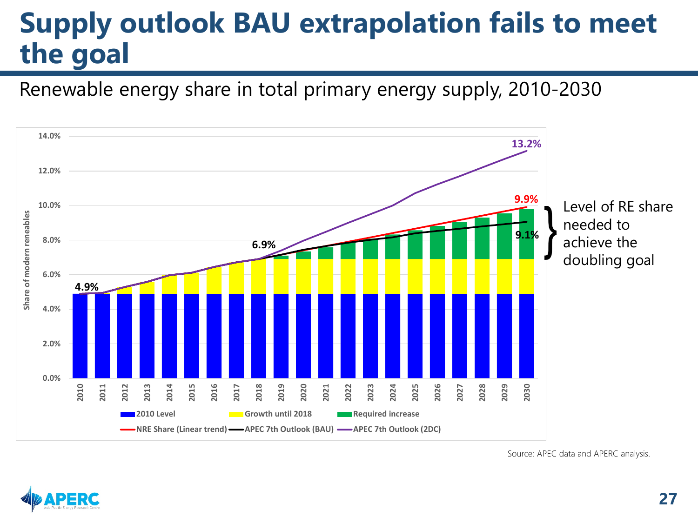#### **Supply outlook BAU extrapolation fails to meet the goal**

Renewable energy share in total primary energy supply, 2010-2030



Source: APEC data and APERC analysis.

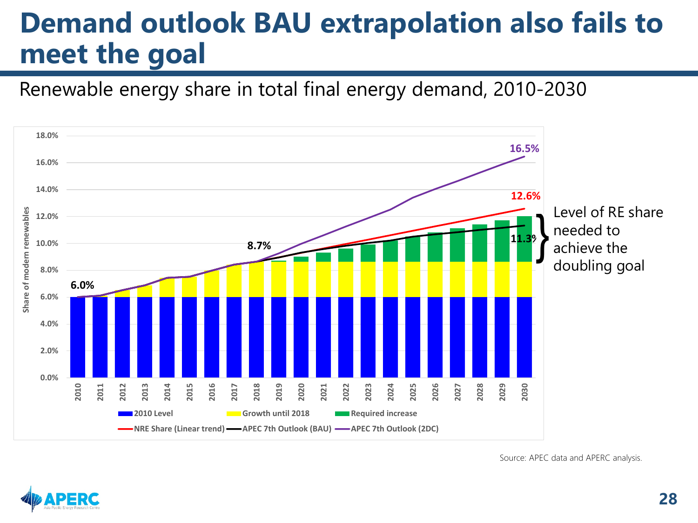#### **Demand outlook BAU extrapolation also fails to meet the goal**

Renewable energy share in total final energy demand, 2010-2030



Source: APEC data and APERC analysis.

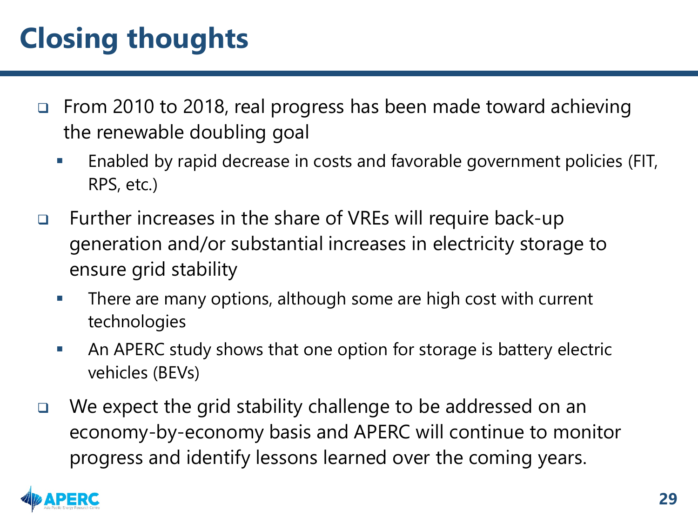### **Closing thoughts**

- □ From 2010 to 2018, real progress has been made toward achieving the renewable doubling goal
	- **Enabled by rapid decrease in costs and favorable government policies (FIT,** RPS, etc.)
- □ Further increases in the share of VREs will require back-up generation and/or substantial increases in electricity storage to ensure grid stability
	- **There are many options, although some are high cost with current** technologies
	- An APERC study shows that one option for storage is battery electric vehicles (BEVs)
- □ We expect the grid stability challenge to be addressed on an economy-by-economy basis and APERC will continue to monitor progress and identify lessons learned over the coming years.